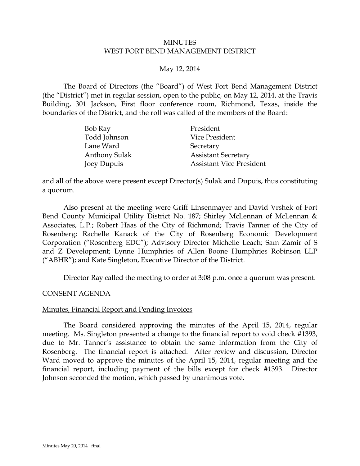#### MINUTES WEST FORT BEND MANAGEMENT DISTRICT

#### May 12, 2014

The Board of Directors (the "Board") of West Fort Bend Management District (the "District") met in regular session, open to the public, on May 12, 2014, at the Travis Building, 301 Jackson, First floor conference room, Richmond, Texas, inside the boundaries of the District, and the roll was called of the members of the Board:

| Bob Ray              | President                       |
|----------------------|---------------------------------|
| Todd Johnson         | Vice President                  |
| Lane Ward            | Secretary                       |
| <b>Anthony Sulak</b> | <b>Assistant Secretary</b>      |
| Joey Dupuis          | <b>Assistant Vice President</b> |

and all of the above were present except Director(s) Sulak and Dupuis, thus constituting a quorum.

Also present at the meeting were Griff Linsenmayer and David Vrshek of Fort Bend County Municipal Utility District No. 187; Shirley McLennan of McLennan & Associates, L.P.; Robert Haas of the City of Richmond; Travis Tanner of the City of Rosenberg; Rachelle Kanack of the City of Rosenberg Economic Development Corporation ("Rosenberg EDC"); Advisory Director Michelle Leach; Sam Zamir of S and Z Development; Lynne Humphries of Allen Boone Humphries Robinson LLP ("ABHR"); and Kate Singleton, Executive Director of the District.

<span id="page-0-0"></span>Director Ray called the meeting to order at 3:08 p.m. once a quorum was present.

#### CONSENT AGENDA

#### Minutes, Financial Report and Pending Invoices

The Board considered approving the minutes of the April 15, 2014, regular meeting. Ms. Singleton presented a change to the financial report to void check #1393, due to Mr. Tanner's assistance to obtain the same information from the City of Rosenberg. The financial report is attached. After review and discussion, Director Ward moved to approve the minutes of the April 15, 2014, regular meeting and the financial report, including payment of the bills except for check #1393. Director Johnson seconded the motion, which passed by unanimous vote.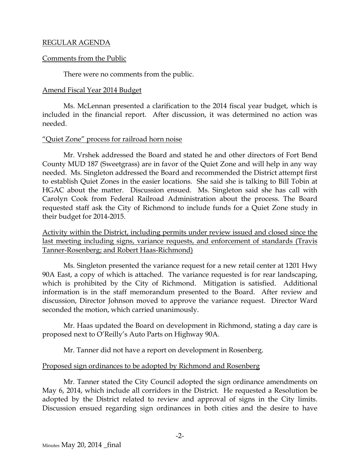#### REGULAR AGENDA

#### Comments from the Public

There were no comments from the public.

#### Amend Fiscal Year 2014 Budget

Ms. McLennan presented a clarification to the 2014 fiscal year budget, which is included in the financial report. After discussion, it was determined no action was needed.

### "Quiet Zone" process for railroad horn noise

Mr. Vrshek addressed the Board and stated he and other directors of Fort Bend County MUD 187 (Sweetgrass) are in favor of the Quiet Zone and will help in any way needed. Ms. Singleton addressed the Board and recommended the District attempt first to establish Quiet Zones in the easier locations. She said she is talking to Bill Tobin at HGAC about the matter. Discussion ensued. Ms. Singleton said she has call with Carolyn Cook from Federal Railroad Administration about the process. The Board requested staff ask the City of Richmond to include funds for a Quiet Zone study in their budget for 2014-2015.

Activity within the District, including permits under review issued and closed since the last meeting including signs, variance requests, and enforcement of standards (Travis Tanner-Rosenberg; and Robert Haas-Richmond)

<span id="page-1-0"></span>Ms. Singleton presented the variance request for a new retail center at 1201 Hwy 90A East, a copy of which is attached. The variance requested is for rear landscaping, which is prohibited by the City of Richmond. Mitigation is satisfied. Additional information is in the staff memorandum presented to the Board. After review and discussion, Director Johnson moved to approve the variance request. Director Ward seconded the motion, which carried unanimously.

Mr. Haas updated the Board on development in Richmond, stating a day care is proposed next to O'Reilly's Auto Parts on Highway 90A.

Mr. Tanner did not have a report on development in Rosenberg.

### Proposed sign ordinances to be adopted by Richmond and Rosenberg

Mr. Tanner stated the City Council adopted the sign ordinance amendments on May 6, 2014, which include all corridors in the District. He requested a Resolution be adopted by the District related to review and approval of signs in the City limits. Discussion ensued regarding sign ordinances in both cities and the desire to have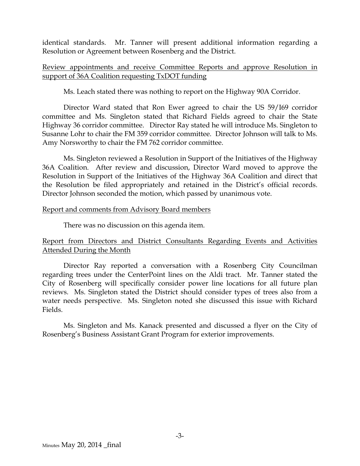identical standards. Mr. Tanner will present additional information regarding a Resolution or Agreement between Rosenberg and the District.

### Review appointments and receive Committee Reports and approve Resolution in support of 36A Coalition requesting TxDOT funding

Ms. Leach stated there was nothing to report on the Highway 90A Corridor.

Director Ward stated that Ron Ewer agreed to chair the US 59/I69 corridor committee and Ms. Singleton stated that Richard Fields agreed to chair the State Highway 36 corridor committee. Director Ray stated he will introduce Ms. Singleton to Susanne Lohr to chair the FM 359 corridor committee. Director Johnson will talk to Ms. Amy Norsworthy to chair the FM 762 corridor committee.

Ms. Singleton reviewed a Resolution in Support of the Initiatives of the Highway 36A Coalition. After review and discussion, Director Ward moved to approve the Resolution in Support of the Initiatives of the Highway 36A Coalition and direct that the Resolution be filed appropriately and retained in the District's official records. Director Johnson seconded the motion, which passed by unanimous vote.

### Report and comments from Advisory Board members

There was no discussion on this agenda item.

## Report from Directors and District Consultants Regarding Events and Activities Attended During the Month

Director Ray reported a conversation with a Rosenberg City Councilman regarding trees under the CenterPoint lines on the Aldi tract. Mr. Tanner stated the City of Rosenberg will specifically consider power line locations for all future plan reviews. Ms. Singleton stated the District should consider types of trees also from a water needs perspective. Ms. Singleton noted she discussed this issue with Richard Fields.

<span id="page-2-0"></span>Ms. Singleton and Ms. Kanack presented and discussed a flyer on the City of Rosenberg's Business Assistant Grant Program for exterior improvements.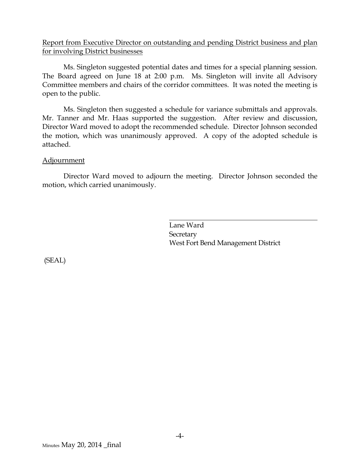### Report from Executive Director on outstanding and pending District business and plan for involving District businesses

Ms. Singleton suggested potential dates and times for a special planning session. The Board agreed on June 18 at 2:00 p.m. Ms. Singleton will invite all Advisory Committee members and chairs of the corridor committees. It was noted the meeting is open to the public.

Ms. Singleton then suggested a schedule for variance submittals and approvals. Mr. Tanner and Mr. Haas supported the suggestion. After review and discussion, Director Ward moved to adopt the recommended schedule. Director Johnson seconded the motion, which was unanimously approved. A copy of the adopted schedule is attached.

### Adjournment

Director Ward moved to adjourn the meeting. Director Johnson seconded the motion, which carried unanimously.

> <span id="page-3-0"></span>Lane Ward **Secretary** West Fort Bend Management District

(SEAL)